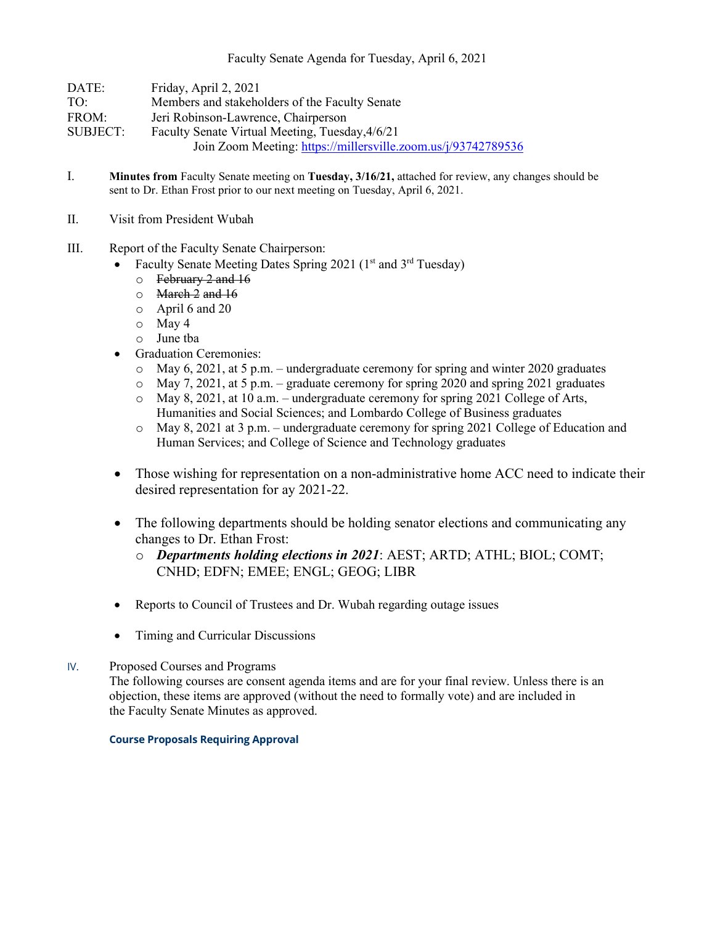| DATE:    | Friday, April 2, 2021                                         |
|----------|---------------------------------------------------------------|
| TO:      | Members and stakeholders of the Faculty Senate                |
| FROM:    | Jeri Robinson-Lawrence, Chairperson                           |
| SUBJECT: | Faculty Senate Virtual Meeting, Tuesday, 4/6/21               |
|          | Join Zoom Meeting: https://millersville.zoom.us/j/93742789536 |

- I. **Minutes from** Faculty Senate meeting on **Tuesday, 3/16/21,** attached for review, any changes should be sent to Dr. Ethan Frost prior to our next meeting on Tuesday, April 6, 2021.
- II. Visit from President Wubah
- III. Report of the Faculty Senate Chairperson:
	- Faculty Senate Meeting Dates Spring 2021 ( $1<sup>st</sup>$  and  $3<sup>rd</sup>$  Tuesday)
		- o February 2 and 16
		- $\circ$  March 2 and 16
		- o April 6 and 20
		- o May 4
		- o June tba
	- Graduation Ceremonies:
		- $\circ$  May 6, 2021, at 5 p.m. undergraduate ceremony for spring and winter 2020 graduates
		- $\circ$  May 7, 2021, at 5 p.m. graduate ceremony for spring 2020 and spring 2021 graduates
		- o May 8, 2021, at 10 a.m. undergraduate ceremony for spring 2021 College of Arts, Humanities and Social Sciences; and Lombardo College of Business graduates
		- o May 8, 2021 at 3 p.m. undergraduate ceremony for spring 2021 College of Education and Human Services; and College of Science and Technology graduates
	- Those wishing for representation on a non-administrative home ACC need to indicate their desired representation for ay 2021-22.
	- The following departments should be holding senator elections and communicating any changes to Dr. Ethan Frost:
		- o *Departments holding elections in 2021*: AEST; ARTD; ATHL; BIOL; COMT; CNHD; EDFN; EMEE; ENGL; GEOG; LIBR
	- Reports to Council of Trustees and Dr. Wubah regarding outage issues
	- Timing and Curricular Discussions

# IV. Proposed Courses and Programs

The following courses are consent agenda items and are for your final review. Unless there is an objection, these items are approved (without the need to formally vote) and are included in the Faculty Senate Minutes as approved.

## **Course Proposals Requiring Approval**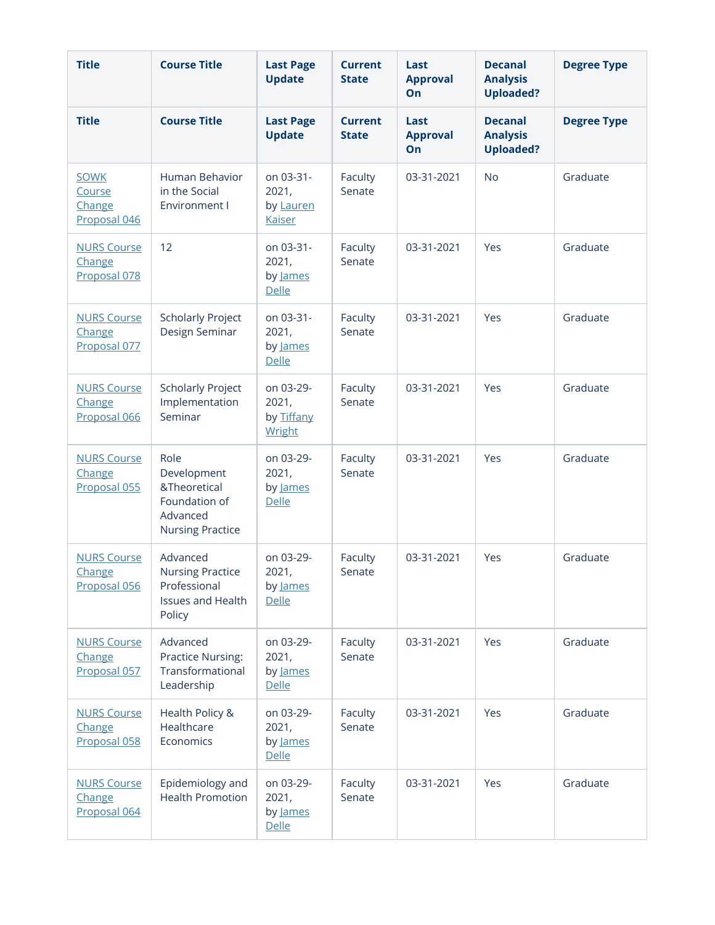| <b>Title</b>                                    | <b>Course Title</b>                                                                         | <b>Last Page</b><br><b>Update</b>                | <b>Current</b><br><b>State</b> | Last<br><b>Approval</b><br>On | <b>Decanal</b><br><b>Analysis</b><br><b>Uploaded?</b> | <b>Degree Type</b> |
|-------------------------------------------------|---------------------------------------------------------------------------------------------|--------------------------------------------------|--------------------------------|-------------------------------|-------------------------------------------------------|--------------------|
| <b>Title</b>                                    | <b>Course Title</b>                                                                         | <b>Last Page</b><br><b>Update</b>                | <b>Current</b><br><b>State</b> | Last<br><b>Approval</b><br>On | <b>Decanal</b><br><b>Analysis</b><br><b>Uploaded?</b> | <b>Degree Type</b> |
| <b>SOWK</b><br>Course<br>Change<br>Proposal 046 | Human Behavior<br>in the Social<br>Environment I                                            | on 03-31-<br>2021,<br>by Lauren<br><b>Kaiser</b> | Faculty<br>Senate              | 03-31-2021                    | <b>No</b>                                             | Graduate           |
| <b>NURS Course</b><br>Change<br>Proposal 078    | 12                                                                                          | on 03-31-<br>2021,<br>by James<br><b>Delle</b>   | Faculty<br>Senate              | 03-31-2021                    | Yes                                                   | Graduate           |
| <b>NURS Course</b><br>Change<br>Proposal 077    | <b>Scholarly Project</b><br>Design Seminar                                                  | on 03-31-<br>2021,<br>by James<br><b>Delle</b>   | Faculty<br>Senate              | 03-31-2021                    | Yes                                                   | Graduate           |
| <b>NURS Course</b><br>Change<br>Proposal 066    | <b>Scholarly Project</b><br>Implementation<br>Seminar                                       | on 03-29-<br>2021,<br>by Tiffany<br>Wright       | Faculty<br>Senate              | 03-31-2021                    | Yes                                                   | Graduate           |
| <b>NURS Course</b><br>Change<br>Proposal 055    | Role<br>Development<br>&Theoretical<br>Foundation of<br>Advanced<br><b>Nursing Practice</b> | on 03-29-<br>2021,<br>by James<br><b>Delle</b>   | Faculty<br>Senate              | 03-31-2021                    | Yes                                                   | Graduate           |
| <b>NURS Course</b><br>Change<br>Proposal 056    | Advanced<br><b>Nursing Practice</b><br>Professional<br><b>Issues and Health</b><br>Policy   | on 03-29-<br>2021,<br>by James<br><b>Delle</b>   | Faculty<br>Senate              | 03-31-2021                    | Yes                                                   | Graduate           |
| <b>NURS Course</b><br>Change<br>Proposal 057    | Advanced<br><b>Practice Nursing:</b><br>Transformational<br>Leadership                      | on 03-29-<br>2021,<br>by James<br><b>Delle</b>   | Faculty<br>Senate              | 03-31-2021                    | Yes                                                   | Graduate           |
| <b>NURS Course</b><br>Change<br>Proposal 058    | Health Policy &<br>Healthcare<br>Economics                                                  | on 03-29-<br>2021,<br>by James<br><b>Delle</b>   | Faculty<br>Senate              | 03-31-2021                    | Yes                                                   | Graduate           |
| <b>NURS Course</b><br>Change<br>Proposal 064    | Epidemiology and<br><b>Health Promotion</b>                                                 | on 03-29-<br>2021,<br>by James<br><b>Delle</b>   | Faculty<br>Senate              | 03-31-2021                    | Yes                                                   | Graduate           |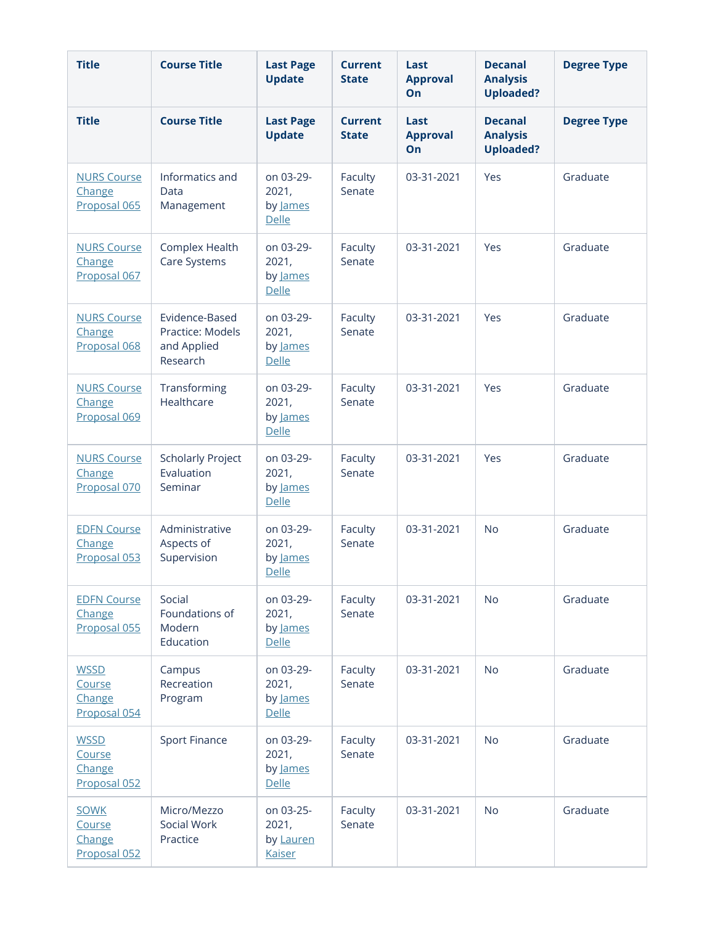| <b>Title</b>                                    | <b>Course Title</b>                                           | <b>Last Page</b><br><b>Update</b>                | <b>Current</b><br><b>State</b> | Last<br><b>Approval</b><br>On | <b>Decanal</b><br><b>Analysis</b><br><b>Uploaded?</b> | <b>Degree Type</b> |
|-------------------------------------------------|---------------------------------------------------------------|--------------------------------------------------|--------------------------------|-------------------------------|-------------------------------------------------------|--------------------|
| <b>Title</b>                                    | <b>Course Title</b>                                           | <b>Last Page</b><br><b>Update</b>                | <b>Current</b><br><b>State</b> | Last<br><b>Approval</b><br>On | <b>Decanal</b><br><b>Analysis</b><br><b>Uploaded?</b> | <b>Degree Type</b> |
| <b>NURS Course</b><br>Change<br>Proposal 065    | Informatics and<br>Data<br>Management                         | on 03-29-<br>2021,<br>by James<br><b>Delle</b>   | Faculty<br>Senate              | 03-31-2021                    | Yes                                                   | Graduate           |
| <b>NURS Course</b><br>Change<br>Proposal 067    | Complex Health<br>Care Systems                                | on 03-29-<br>2021,<br>by James<br><b>Delle</b>   | Faculty<br>Senate              | 03-31-2021                    | Yes                                                   | Graduate           |
| <b>NURS Course</b><br>Change<br>Proposal 068    | Evidence-Based<br>Practice: Models<br>and Applied<br>Research | on 03-29-<br>2021,<br>by James<br><b>Delle</b>   | Faculty<br>Senate              | 03-31-2021                    | Yes                                                   | Graduate           |
| <b>NURS Course</b><br>Change<br>Proposal 069    | Transforming<br>Healthcare                                    | on 03-29-<br>2021,<br>by James<br><b>Delle</b>   | Faculty<br>Senate              | 03-31-2021                    | Yes                                                   | Graduate           |
| <b>NURS Course</b><br>Change<br>Proposal 070    | <b>Scholarly Project</b><br>Evaluation<br>Seminar             | on 03-29-<br>2021,<br>by James<br><b>Delle</b>   | Faculty<br>Senate              | 03-31-2021                    | Yes                                                   | Graduate           |
| <b>EDFN Course</b><br>Change<br>Proposal 053    | Administrative<br>Aspects of<br>Supervision                   | on 03-29-<br>2021,<br>by James<br>Delle          | Faculty<br>Senate              | 03-31-2021                    | <b>No</b>                                             | Graduate           |
| <b>EDFN Course</b><br>Change<br>Proposal 055    | Social<br>Foundations of<br>Modern<br>Education               | on 03-29-<br>2021,<br>by James<br>Delle          | Faculty<br>Senate              | 03-31-2021                    | <b>No</b>                                             | Graduate           |
| <b>WSSD</b><br>Course<br>Change<br>Proposal 054 | Campus<br>Recreation<br>Program                               | on 03-29-<br>2021,<br>by James<br>Delle          | Faculty<br>Senate              | 03-31-2021                    | <b>No</b>                                             | Graduate           |
| <b>WSSD</b><br>Course<br>Change<br>Proposal 052 | <b>Sport Finance</b>                                          | on 03-29-<br>2021,<br>by James<br><b>Delle</b>   | Faculty<br>Senate              | 03-31-2021                    | <b>No</b>                                             | Graduate           |
| <b>SOWK</b><br>Course<br>Change<br>Proposal 052 | Micro/Mezzo<br>Social Work<br>Practice                        | on 03-25-<br>2021,<br>by Lauren<br><b>Kaiser</b> | Faculty<br>Senate              | 03-31-2021                    | <b>No</b>                                             | Graduate           |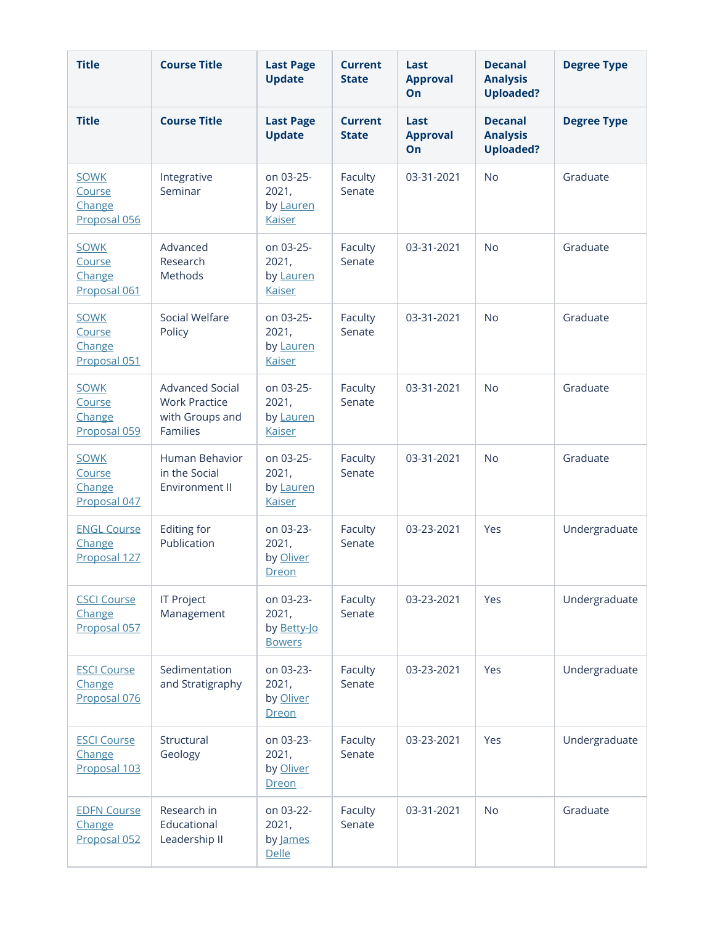| <b>Title</b>                                    | <b>Course Title</b>                                                           | <b>Last Page</b><br><b>Update</b>                  | <b>Current</b><br><b>State</b> | Last<br><b>Approval</b><br>On | <b>Decanal</b><br><b>Analysis</b><br><b>Uploaded?</b> | <b>Degree Type</b> |
|-------------------------------------------------|-------------------------------------------------------------------------------|----------------------------------------------------|--------------------------------|-------------------------------|-------------------------------------------------------|--------------------|
| <b>Title</b>                                    | <b>Course Title</b>                                                           | <b>Last Page</b><br><b>Update</b>                  | <b>Current</b><br><b>State</b> | Last<br><b>Approval</b><br>On | <b>Decanal</b><br><b>Analysis</b><br><b>Uploaded?</b> | <b>Degree Type</b> |
| <b>SOWK</b><br>Course<br>Change<br>Proposal 056 | Integrative<br>Seminar                                                        | on 03-25-<br>2021,<br>by Lauren<br><b>Kaiser</b>   | Faculty<br>Senate              | 03-31-2021                    | <b>No</b>                                             | Graduate           |
| <b>SOWK</b><br>Course<br>Change<br>Proposal 061 | Advanced<br>Research<br>Methods                                               | on 03-25-<br>2021,<br>by Lauren<br><b>Kaiser</b>   | Faculty<br>Senate              | 03-31-2021                    | <b>No</b>                                             | Graduate           |
| <b>SOWK</b><br>Course<br>Change<br>Proposal 051 | Social Welfare<br>Policy                                                      | on 03-25-<br>2021,<br>by Lauren<br><b>Kaiser</b>   | Faculty<br>Senate              | 03-31-2021                    | <b>No</b>                                             | Graduate           |
| <b>SOWK</b><br>Course<br>Change<br>Proposal 059 | <b>Advanced Social</b><br><b>Work Practice</b><br>with Groups and<br>Families | on 03-25-<br>2021,<br>by Lauren<br><b>Kaiser</b>   | Faculty<br>Senate              | 03-31-2021                    | <b>No</b>                                             | Graduate           |
| <b>SOWK</b><br>Course<br>Change<br>Proposal 047 | Human Behavior<br>in the Social<br><b>Environment II</b>                      | on 03-25-<br>2021,<br>by Lauren<br><b>Kaiser</b>   | Faculty<br>Senate              | 03-31-2021                    | <b>No</b>                                             | Graduate           |
| <b>ENGL Course</b><br>Change<br>Proposal 127    | Editing for<br>Publication                                                    | on 03-23-<br>2021,<br>by Oliver<br>Dreon           | Faculty<br>Senate              | 03-23-2021                    | Yes                                                   | Undergraduate      |
| <b>CSCI Course</b><br>Change<br>Proposal 057    | <b>IT Project</b><br>Management                                               | on 03-23-<br>2021,<br>by Betty-Jo<br><b>Bowers</b> | Faculty<br>Senate              | 03-23-2021                    | Yes                                                   | Undergraduate      |
| <b>ESCI Course</b><br>Change<br>Proposal 076    | Sedimentation<br>and Stratigraphy                                             | on 03-23-<br>2021,<br>by Oliver<br>Dreon           | Faculty<br>Senate              | 03-23-2021                    | Yes                                                   | Undergraduate      |
| <b>ESCI Course</b><br>Change<br>Proposal 103    | Structural<br>Geology                                                         | on 03-23-<br>2021,<br>by Oliver<br>Dreon           | Faculty<br>Senate              | 03-23-2021                    | Yes                                                   | Undergraduate      |
| <b>EDFN Course</b><br>Change<br>Proposal 052    | Research in<br>Educational<br>Leadership II                                   | on 03-22-<br>2021,<br>by James<br><b>Delle</b>     | Faculty<br>Senate              | 03-31-2021                    | <b>No</b>                                             | Graduate           |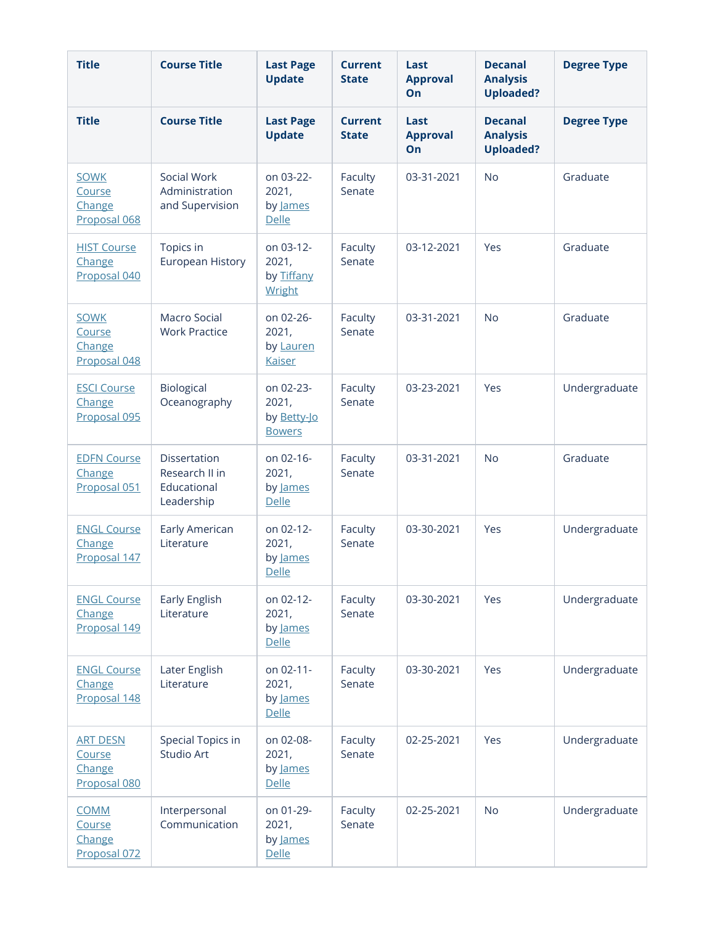| <b>Title</b>                                        | <b>Course Title</b>                                         | <b>Last Page</b><br><b>Update</b>                  | <b>Current</b><br><b>State</b> | Last<br><b>Approval</b><br>On | <b>Decanal</b><br><b>Analysis</b><br><b>Uploaded?</b> | <b>Degree Type</b> |
|-----------------------------------------------------|-------------------------------------------------------------|----------------------------------------------------|--------------------------------|-------------------------------|-------------------------------------------------------|--------------------|
| <b>Title</b>                                        | <b>Course Title</b>                                         | <b>Last Page</b><br><b>Update</b>                  | <b>Current</b><br><b>State</b> | Last<br><b>Approval</b><br>On | <b>Decanal</b><br><b>Analysis</b><br><b>Uploaded?</b> | <b>Degree Type</b> |
| <b>SOWK</b><br>Course<br>Change<br>Proposal 068     | Social Work<br>Administration<br>and Supervision            | on 03-22-<br>2021,<br>by James<br><b>Delle</b>     | Faculty<br>Senate              | 03-31-2021                    | <b>No</b>                                             | Graduate           |
| <b>HIST Course</b><br>Change<br>Proposal 040        | Topics in<br>European History                               | on 03-12-<br>2021,<br>by Tiffany<br>Wright         | Faculty<br>Senate              | 03-12-2021                    | Yes                                                   | Graduate           |
| <b>SOWK</b><br>Course<br>Change<br>Proposal 048     | Macro Social<br><b>Work Practice</b>                        | on 02-26-<br>2021,<br>by Lauren<br><b>Kaiser</b>   | Faculty<br>Senate              | 03-31-2021                    | <b>No</b>                                             | Graduate           |
| <b>ESCI Course</b><br>Change<br>Proposal 095        | Biological<br>Oceanography                                  | on 02-23-<br>2021,<br>by Betty-Jo<br><b>Bowers</b> | Faculty<br>Senate              | 03-23-2021                    | Yes                                                   | Undergraduate      |
| <b>EDFN Course</b><br>Change<br>Proposal 051        | Dissertation<br>Research II in<br>Educational<br>Leadership | on 02-16-<br>2021,<br>by James<br>Delle            | Faculty<br>Senate              | 03-31-2021                    | <b>No</b>                                             | Graduate           |
| <b>ENGL Course</b><br>Change<br>Proposal 147        | Early American<br>Literature                                | on 02-12-<br>2021,<br>by James<br>Delle            | Faculty<br>Senate              | 03-30-2021                    | Yes                                                   | Undergraduate      |
| <b>ENGL Course</b><br>Change<br>Proposal 149        | Early English<br>Literature                                 | on 02-12-<br>2021,<br>by James<br><b>Delle</b>     | Faculty<br>Senate              | 03-30-2021                    | Yes                                                   | Undergraduate      |
| <b>ENGL Course</b><br>Change<br>Proposal 148        | Later English<br>Literature                                 | on 02-11-<br>2021,<br>by James<br><b>Delle</b>     | Faculty<br>Senate              | 03-30-2021                    | Yes                                                   | Undergraduate      |
| <b>ART DESN</b><br>Course<br>Change<br>Proposal 080 | Special Topics in<br>Studio Art                             | on 02-08-<br>2021,<br>by James<br><b>Delle</b>     | Faculty<br>Senate              | 02-25-2021                    | Yes                                                   | Undergraduate      |
| <b>COMM</b><br>Course<br>Change<br>Proposal 072     | Interpersonal<br>Communication                              | on 01-29-<br>2021,<br>by James<br><b>Delle</b>     | Faculty<br>Senate              | 02-25-2021                    | <b>No</b>                                             | Undergraduate      |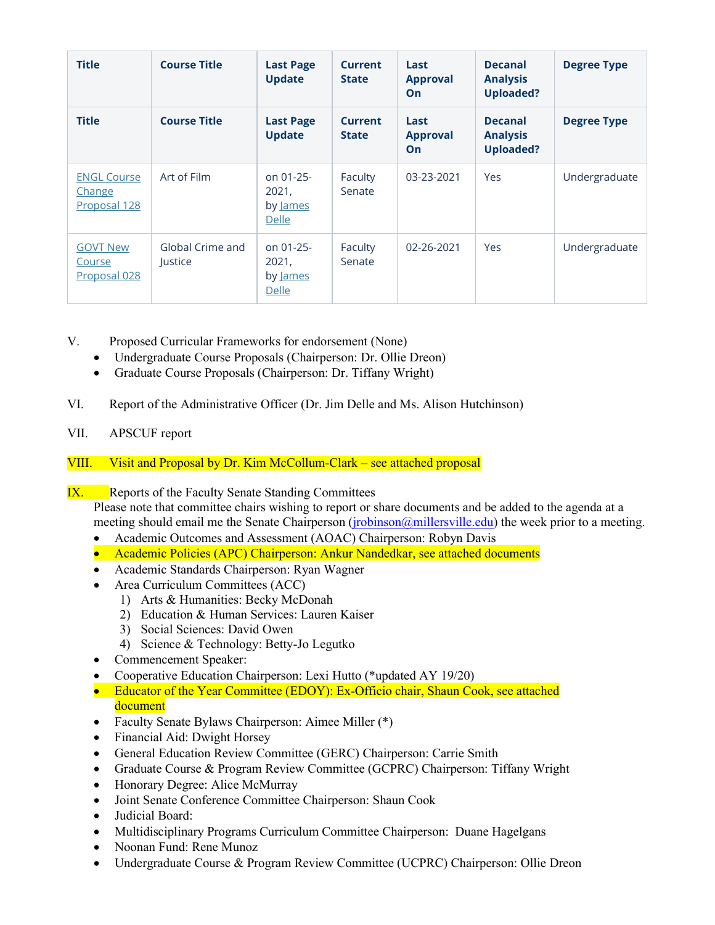| <b>Title</b>                                 | <b>Course Title</b>         | <b>Last Page</b><br><b>Update</b>              | <b>Current</b><br><b>State</b> | Last<br><b>Approval</b><br>On        | <b>Decanal</b><br><b>Analysis</b><br><b>Uploaded?</b> | <b>Degree Type</b> |
|----------------------------------------------|-----------------------------|------------------------------------------------|--------------------------------|--------------------------------------|-------------------------------------------------------|--------------------|
| <b>Title</b>                                 | <b>Course Title</b>         | <b>Last Page</b><br><b>Update</b>              | <b>Current</b><br><b>State</b> | Last<br><b>Approval</b><br><b>On</b> | <b>Decanal</b><br><b>Analysis</b><br><b>Uploaded?</b> | <b>Degree Type</b> |
| <b>ENGL Course</b><br>Change<br>Proposal 128 | Art of Film                 | on 01-25-<br>2021,<br>by James<br><b>Delle</b> | Faculty<br>Senate              | 03-23-2021                           | Yes                                                   | Undergraduate      |
| <b>GOVT New</b><br>Course<br>Proposal 028    | Global Crime and<br>Justice | on 01-25-<br>2021,<br>by James<br><b>Delle</b> | Faculty<br>Senate              | 02-26-2021                           | Yes                                                   | Undergraduate      |

- V. Proposed Curricular Frameworks for endorsement (None)
	- Undergraduate Course Proposals (Chairperson: Dr. Ollie Dreon)
	- Graduate Course Proposals (Chairperson: Dr. Tiffany Wright)
- VI. Report of the Administrative Officer (Dr. Jim Delle and Ms. Alison Hutchinson)
- VII. APSCUF report

# VIII. Visit and Proposal by Dr. Kim McCollum-Clark – see attached proposal

# **IX.** Reports of the Faculty Senate Standing Committees

Please note that committee chairs wishing to report or share documents and be added to the agenda at a meeting should email me the Senate Chairperson (*jrobinson@millersville.edu*) the week prior to a meeting.

- Academic Outcomes and Assessment (AOAC) Chairperson: Robyn Davis
- Academic Policies (APC) Chairperson: Ankur Nandedkar, see attached documents
- Academic Standards Chairperson: Ryan Wagner
- Area Curriculum Committees (ACC)
	- 1) Arts & Humanities: Becky McDonah
	- 2) Education & Human Services: Lauren Kaiser
	- 3) Social Sciences: David Owen
	- 4) Science & Technology: Betty-Jo Legutko
- Commencement Speaker:
- Cooperative Education Chairperson: Lexi Hutto (\*updated AY 19/20)
- Educator of the Year Committee (EDOY): Ex-Officio chair, Shaun Cook, see attached document
- Faculty Senate Bylaws Chairperson: Aimee Miller (\*)
- Financial Aid: Dwight Horsey
- General Education Review Committee (GERC) Chairperson: Carrie Smith
- Graduate Course & Program Review Committee (GCPRC) Chairperson: Tiffany Wright
- Honorary Degree: Alice McMurray
- Joint Senate Conference Committee Chairperson: Shaun Cook
- Judicial Board:
- Multidisciplinary Programs Curriculum Committee Chairperson: Duane Hagelgans
- Noonan Fund: Rene Munoz
- Undergraduate Course & Program Review Committee (UCPRC) Chairperson: Ollie Dreon